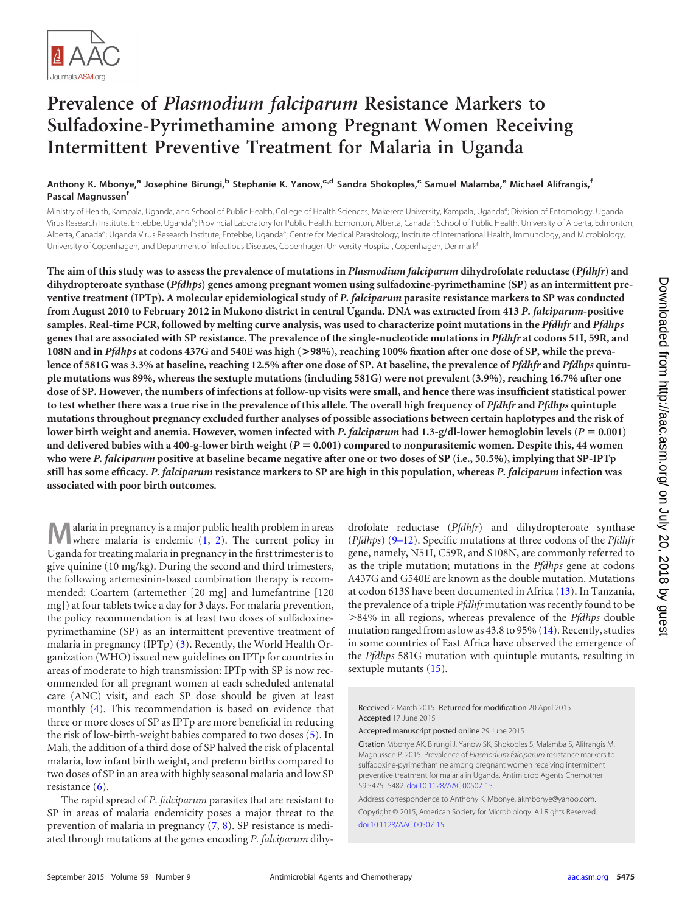

# **Prevalence of** *Plasmodium falciparum* **Resistance Markers to Sulfadoxine-Pyrimethamine among Pregnant Women Receiving Intermittent Preventive Treatment for Malaria in Uganda**

## **Anthony K. Mbonye,<sup>a</sup> Josephine Birungi,<sup>b</sup> Stephanie K. Yanow,c,d Sandra Shokoples,<sup>c</sup> Samuel Malamba,<sup>e</sup> Michael Alifrangis,<sup>f</sup> Pascal Magnussen<sup>f</sup>**

Ministry of Health, Kampala, Uganda, and School of Public Health, College of Health Sciences, Makerere University, Kampala, Uganda<sup>a</sup>; Division of Entomology, Uganda Virus Research Institute, Entebbe, Uganda<sup>b</sup>; Provincial Laboratory for Public Health, Edmonton, Alberta, Canada<sup>c</sup>; School of Public Health, University of Alberta, Edmonton, Alberta, Canada<sup>d</sup>; Uganda Virus Research Institute, Entebbe, Uganda<sup>e</sup>; Centre for Medical Parasitology, Institute of International Health, Immunology, and Microbiology, University of Copenhagen, and Department of Infectious Diseases, Copenhagen University Hospital, Copenhagen, Denmark<sup>f</sup>

**The aim of this study was to assess the prevalence of mutations in** *Plasmodium falciparum* **dihydrofolate reductase (***Pfdhfr***) and dihydropteroate synthase (***Pfdhps***) genes among pregnant women using sulfadoxine-pyrimethamine (SP) as an intermittent preventive treatment (IPTp). A molecular epidemiological study of** *P. falciparum* **parasite resistance markers to SP was conducted from August 2010 to February 2012 in Mukono district in central Uganda. DNA was extracted from 413** *P. falciparum***-positive samples. Real-time PCR, followed by melting curve analysis, was used to characterize point mutations in the** *Pfdhfr* **and** *Pfdhps* **genes that are associated with SP resistance. The prevalence of the single-nucleotide mutations in** *Pfdhfr* **at codons 51I, 59R, and 108N and in** *Pfdhps* **at codons 437G and 540E was high (>98%), reaching 100% fixation after one dose of SP, while the prevalence of 581G was 3.3% at baseline, reaching 12.5% after one dose of SP. At baseline, the prevalence of** *Pfdhfr* **and** *Pfdhps* **quintuple mutations was 89%, whereas the sextuple mutations (including 581G) were not prevalent (3.9%), reaching 16.7% after one dose of SP. However, the numbers of infections at follow-up visits were small, and hence there was insufficient statistical power to test whether there was a true rise in the prevalence of this allele. The overall high frequency of** *Pfdhfr* **and** *Pfdhps* **quintuple mutations throughout pregnancy excluded further analyses of possible associations between certain haplotypes and the risk of** lower birth weight and anemia. However, women infected with *P. falciparum* had 1.3-g/dl-lower hemoglobin levels (*P* = 0.001) **and delivered babies with a 400-g-lower birth weight (***P* - **0.001) compared to nonparasitemic women. Despite this, 44 women who were** *P. falciparum* **positive at baseline became negative after one or two doses of SP (i.e., 50.5%), implying that SP-IPTp still has some efficacy.** *P. falciparum* **resistance markers to SP are high in this population, whereas** *P. falciparum* **infection was associated with poor birth outcomes.**

**M**alaria in pregnancy is a major public health problem in areas where malaria is endemic  $(1, 2)$  $(1, 2)$  $(1, 2)$ . The current policy in Uganda for treating malaria in pregnancy in the first trimester is to give quinine (10 mg/kg). During the second and third trimesters, the following artemesinin-based combination therapy is recommended: Coartem (artemether [20 mg] and lumefantrine [120 mg]) at four tablets twice a day for 3 days. For malaria prevention, the policy recommendation is at least two doses of sulfadoxinepyrimethamine (SP) as an intermittent preventive treatment of malaria in pregnancy (IPTp) [\(3\)](#page-6-2). Recently, the World Health Organization (WHO) issued new guidelines on IPTp for countries in areas of moderate to high transmission: IPTp with SP is now recommended for all pregnant women at each scheduled antenatal care (ANC) visit, and each SP dose should be given at least monthly [\(4\)](#page-6-3). This recommendation is based on evidence that three or more doses of SP as IPTp are more beneficial in reducing the risk of low-birth-weight babies compared to two doses [\(5\)](#page-6-4). In Mali, the addition of a third dose of SP halved the risk of placental malaria, low infant birth weight, and preterm births compared to two doses of SP in an area with highly seasonal malaria and low SP resistance [\(6\)](#page-6-5).

The rapid spread of *P. falciparum* parasites that are resistant to SP in areas of malaria endemicity poses a major threat to the prevention of malaria in pregnancy [\(7,](#page-6-6) [8\)](#page-6-7). SP resistance is mediated through mutations at the genes encoding *P. falciparum* dihydrofolate reductase (*Pfdhfr*) and dihydropteroate synthase (*Pfdhps*) [\(9](#page-6-8)[–](#page-6-9)[12\)](#page-6-10). Specific mutations at three codons of the *Pfdhfr* gene, namely, N51I, C59R, and S108N, are commonly referred to as the triple mutation; mutations in the *Pfdhps* gene at codons A437G and G540E are known as the double mutation. Mutations at codon 613S have been documented in Africa [\(13\)](#page-6-11). In Tanzania, the prevalence of a triple *Pfdhfr* mutation was recently found to be -84% in all regions, whereas prevalence of the *Pfdhps* double mutation ranged from as low as 43.8 to 95% [\(14\)](#page-7-0). Recently, studies in some countries of East Africa have observed the emergence of the *Pfdhps* 581G mutation with quintuple mutants, resulting in sextuple mutants [\(15\)](#page-7-1).

Received 2 March 2015 Returned for modification 20 April 2015 Accepted 17 June 2015

Accepted manuscript posted online 29 June 2015

Citation Mbonye AK, Birungi J, Yanow SK, Shokoples S, Malamba S, Alifrangis M, Magnussen P. 2015. Prevalence of *Plasmodium falciparum* resistance markers to sulfadoxine-pyrimethamine among pregnant women receiving intermittent preventive treatment for malaria in Uganda. Antimicrob Agents Chemother 59:5475–5482. [doi:10.1128/AAC.00507-15.](http://dx.doi.org/10.1128/AAC.00507-15)

Address correspondence to Anthony K. Mbonye, akmbonye@yahoo.com. Copyright © 2015, American Society for Microbiology. All Rights Reserved. [doi:10.1128/AAC.00507-15](http://dx.doi.org/10.1128/AAC.00507-15)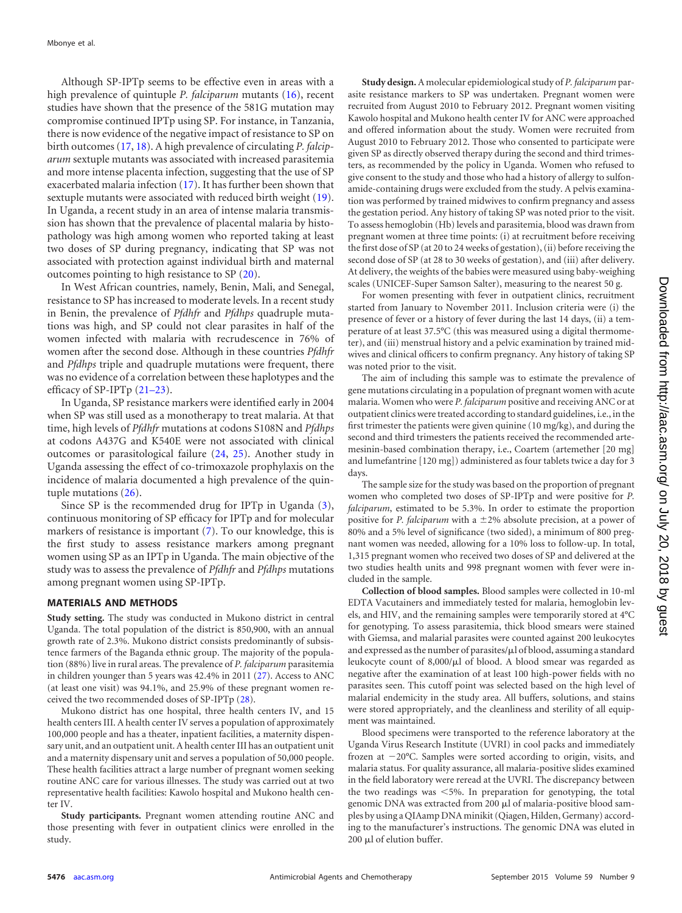Although SP-IPTp seems to be effective even in areas with a high prevalence of quintuple *P. falciparum* mutants [\(16\)](#page-7-2), recent studies have shown that the presence of the 581G mutation may compromise continued IPTp using SP. For instance, in Tanzania, there is now evidence of the negative impact of resistance to SP on birth outcomes [\(17,](#page-7-3) [18\)](#page-7-4). A high prevalence of circulating *P. falciparum* sextuple mutants was associated with increased parasitemia and more intense placenta infection, suggesting that the use of SP exacerbated malaria infection [\(17\)](#page-7-3). It has further been shown that sextuple mutants were associated with reduced birth weight [\(19\)](#page-7-5). In Uganda, a recent study in an area of intense malaria transmission has shown that the prevalence of placental malaria by histopathology was high among women who reported taking at least two doses of SP during pregnancy, indicating that SP was not associated with protection against individual birth and maternal outcomes pointing to high resistance to SP [\(20\)](#page-7-6).

In West African countries, namely, Benin, Mali, and Senegal, resistance to SP has increased to moderate levels. In a recent study in Benin, the prevalence of *Pfdhfr* and *Pfdhps* quadruple mutations was high, and SP could not clear parasites in half of the women infected with malaria with recrudescence in 76% of women after the second dose. Although in these countries *Pfdhfr* and *Pfdhps* triple and quadruple mutations were frequent, there was no evidence of a correlation between these haplotypes and the efficacy of SP-IPTp [\(21](#page-7-7)[–](#page-7-8)[23\)](#page-7-9).

In Uganda, SP resistance markers were identified early in 2004 when SP was still used as a monotherapy to treat malaria. At that time, high levels of *Pfdhfr* mutations at codons S108N and *Pfdhps* at codons A437G and K540E were not associated with clinical outcomes or parasitological failure [\(24,](#page-7-10) [25\)](#page-7-11). Another study in Uganda assessing the effect of co-trimoxazole prophylaxis on the incidence of malaria documented a high prevalence of the quintuple mutations [\(26\)](#page-7-12).

Since SP is the recommended drug for IPTp in Uganda [\(3\)](#page-6-2), continuous monitoring of SP efficacy for IPTp and for molecular markers of resistance is important [\(7\)](#page-6-6). To our knowledge, this is the first study to assess resistance markers among pregnant women using SP as an IPTp in Uganda. The main objective of the study was to assess the prevalence of *Pfdhfr* and *Pfdhps* mutations among pregnant women using SP-IPTp.

#### **MATERIALS AND METHODS**

**Study setting.** The study was conducted in Mukono district in central Uganda. The total population of the district is 850,900, with an annual growth rate of 2.3%. Mukono district consists predominantly of subsistence farmers of the Baganda ethnic group. The majority of the population (88%) live in rural areas. The prevalence of *P. falciparum* parasitemia in children younger than 5 years was 42.4% in 2011 [\(27\)](#page-7-13). Access to ANC (at least one visit) was 94.1%, and 25.9% of these pregnant women received the two recommended doses of SP-IPTp [\(28\)](#page-7-14).

Mukono district has one hospital, three health centers IV, and 15 health centers III. A health center IV serves a population of approximately 100,000 people and has a theater, inpatient facilities, a maternity dispensary unit, and an outpatient unit. A health center III has an outpatient unit and a maternity dispensary unit and serves a population of 50,000 people. These health facilities attract a large number of pregnant women seeking routine ANC care for various illnesses. The study was carried out at two representative health facilities: Kawolo hospital and Mukono health center IV.

**Study participants.** Pregnant women attending routine ANC and those presenting with fever in outpatient clinics were enrolled in the study.

**Study design.** A molecular epidemiological study of *P. falciparum* parasite resistance markers to SP was undertaken. Pregnant women were recruited from August 2010 to February 2012. Pregnant women visiting Kawolo hospital and Mukono health center IV for ANC were approached and offered information about the study. Women were recruited from August 2010 to February 2012. Those who consented to participate were given SP as directly observed therapy during the second and third trimesters, as recommended by the policy in Uganda. Women who refused to give consent to the study and those who had a history of allergy to sulfonamide-containing drugs were excluded from the study. A pelvis examination was performed by trained midwives to confirm pregnancy and assess the gestation period. Any history of taking SP was noted prior to the visit. To assess hemoglobin (Hb) levels and parasitemia, blood was drawn from pregnant women at three time points: (i) at recruitment before receiving the first dose of SP (at 20 to 24 weeks of gestation), (ii) before receiving the second dose of SP (at 28 to 30 weeks of gestation), and (iii) after delivery. At delivery, the weights of the babies were measured using baby-weighing scales (UNICEF-Super Samson Salter), measuring to the nearest 50 g.

For women presenting with fever in outpatient clinics, recruitment started from January to November 2011. Inclusion criteria were (i) the presence of fever or a history of fever during the last 14 days, (ii) a temperature of at least 37.5°C (this was measured using a digital thermometer), and (iii) menstrual history and a pelvic examination by trained midwives and clinical officers to confirm pregnancy. Any history of taking SP was noted prior to the visit.

The aim of including this sample was to estimate the prevalence of gene mutations circulating in a population of pregnant women with acute malaria. Women who were *P. falciparum* positive and receiving ANC or at outpatient clinics were treated according to standard guidelines, i.e., in the first trimester the patients were given quinine (10 mg/kg), and during the second and third trimesters the patients received the recommended artemesinin-based combination therapy, i.e., Coartem (artemether [20 mg] and lumefantrine [120 mg]) administered as four tablets twice a day for 3 days.

The sample size for the study was based on the proportion of pregnant women who completed two doses of SP-IPTp and were positive for *P. falciparum*, estimated to be 5.3%. In order to estimate the proportion positive for *P. falciparum* with a  $\pm 2\%$  absolute precision, at a power of 80% and a 5% level of significance (two sided), a minimum of 800 pregnant women was needed, allowing for a 10% loss to follow-up. In total, 1,315 pregnant women who received two doses of SP and delivered at the two studies health units and 998 pregnant women with fever were included in the sample.

**Collection of blood samples.** Blood samples were collected in 10-ml EDTA Vacutainers and immediately tested for malaria, hemoglobin levels, and HIV, and the remaining samples were temporarily stored at 4°C for genotyping. To assess parasitemia, thick blood smears were stained with Giemsa, and malarial parasites were counted against 200 leukocytes and expressed as the number of parasites/ $\mu$ l of blood, assuming a standard leukocyte count of  $8,000/\mu l$  of blood. A blood smear was regarded as negative after the examination of at least 100 high-power fields with no parasites seen. This cutoff point was selected based on the high level of malarial endemicity in the study area. All buffers, solutions, and stains were stored appropriately, and the cleanliness and sterility of all equipment was maintained.

Blood specimens were transported to the reference laboratory at the Uganda Virus Research Institute (UVRI) in cool packs and immediately frozen at  $-20^{\circ}$ C. Samples were sorted according to origin, visits, and malaria status. For quality assurance, all malaria-positive slides examined in the field laboratory were reread at the UVRI. The discrepancy between the two readings was  $\leq 5\%$ . In preparation for genotyping, the total genomic DNA was extracted from 200 µl of malaria-positive blood samples by using a QIAamp DNA minikit (Qiagen, Hilden, Germany) according to the manufacturer's instructions. The genomic DNA was eluted in  $200 \mu l$  of elution buffer.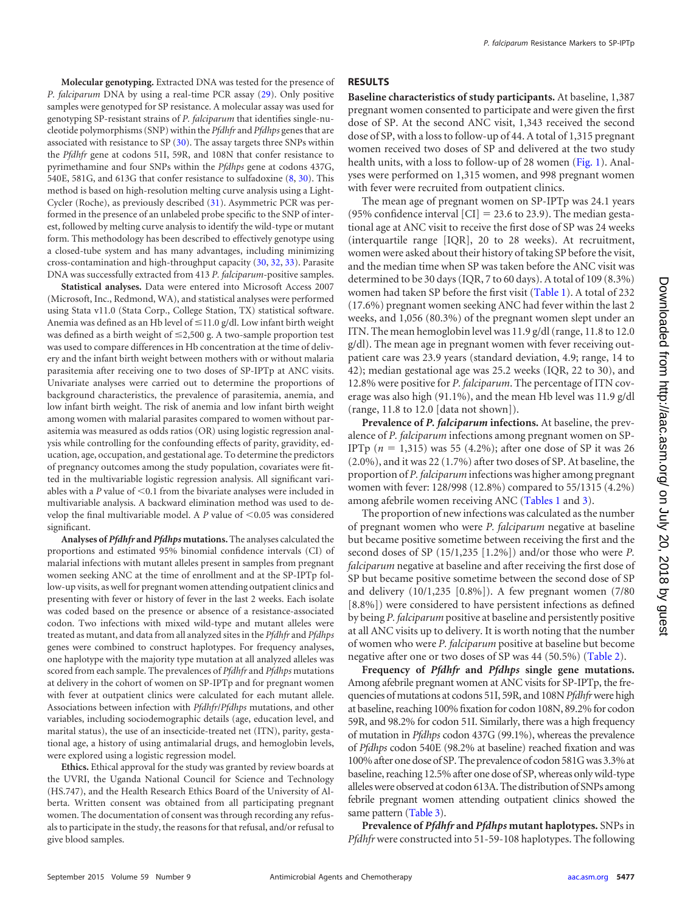**Molecular genotyping.** Extracted DNA was tested for the presence of *P. falciparum* DNA by using a real-time PCR assay [\(29\)](#page-7-15). Only positive samples were genotyped for SP resistance. A molecular assay was used for genotyping SP-resistant strains of *P. falciparum* that identifies single-nucleotide polymorphisms (SNP) within the *Pfdhfr* and *Pfdhps* genes that are associated with resistance to SP [\(30\)](#page-7-16). The assay targets three SNPs within the *Pfdhfr* gene at codons 51I, 59R, and 108N that confer resistance to pyrimethamine and four SNPs within the *Pfdhps* gene at codons 437G, 540E, 581G, and 613G that confer resistance to sulfadoxine [\(8,](#page-6-7) [30\)](#page-7-16). This method is based on high-resolution melting curve analysis using a Light-Cycler (Roche), as previously described [\(31\)](#page-7-17). Asymmetric PCR was performed in the presence of an unlabeled probe specific to the SNP of interest, followed by melting curve analysis to identify the wild-type or mutant form. This methodology has been described to effectively genotype using a closed-tube system and has many advantages, including minimizing cross-contamination and high-throughput capacity [\(30,](#page-7-16) [32,](#page-7-18) [33\)](#page-7-19). Parasite DNA was successfully extracted from 413 *P. falciparum*-positive samples.

**Statistical analyses.** Data were entered into Microsoft Access 2007 (Microsoft, Inc., Redmond, WA), and statistical analyses were performed using Stata v11.0 (Stata Corp., College Station, TX) statistical software. Anemia was defined as an Hb level of ≤11.0 g/dl. Low infant birth weight was defined as a birth weight of  $\leq$ 2,500 g. A two-sample proportion test was used to compare differences in Hb concentration at the time of delivery and the infant birth weight between mothers with or without malaria parasitemia after receiving one to two doses of SP-IPTp at ANC visits. Univariate analyses were carried out to determine the proportions of background characteristics, the prevalence of parasitemia, anemia, and low infant birth weight. The risk of anemia and low infant birth weight among women with malarial parasites compared to women without parasitemia was measured as odds ratios (OR) using logistic regression analysis while controlling for the confounding effects of parity, gravidity, education, age, occupation, and gestational age. To determine the predictors of pregnancy outcomes among the study population, covariates were fitted in the multivariable logistic regression analysis. All significant variables with a  $P$  value of  $\leq$  0.1 from the bivariate analyses were included in multivariable analysis. A backward elimination method was used to develop the final multivariable model. A *P* value of <0.05 was considered significant.

**Analyses of** *Pfdhfr* **and** *Pfdhps* **mutations.** The analyses calculated the proportions and estimated 95% binomial confidence intervals (CI) of malarial infections with mutant alleles present in samples from pregnant women seeking ANC at the time of enrollment and at the SP-IPTp follow-up visits, as well for pregnant women attending outpatient clinics and presenting with fever or history of fever in the last 2 weeks. Each isolate was coded based on the presence or absence of a resistance-associated codon. Two infections with mixed wild-type and mutant alleles were treated as mutant, and data from all analyzed sites in the *Pfdhfr* and *Pfdhps* genes were combined to construct haplotypes. For frequency analyses, one haplotype with the majority type mutation at all analyzed alleles was scored from each sample. The prevalences of *Pfdhfr* and *Pfdhps* mutations at delivery in the cohort of women on SP-IPTp and for pregnant women with fever at outpatient clinics were calculated for each mutant allele. Associations between infection with *Pfdhfr*/*Pfdhps* mutations, and other variables, including sociodemographic details (age, education level, and marital status), the use of an insecticide-treated net (ITN), parity, gestational age, a history of using antimalarial drugs, and hemoglobin levels, were explored using a logistic regression model.

**Ethics.** Ethical approval for the study was granted by review boards at the UVRI, the Uganda National Council for Science and Technology (HS.747), and the Health Research Ethics Board of the University of Alberta. Written consent was obtained from all participating pregnant women. The documentation of consent was through recording any refusals to participate in the study, the reasons for that refusal, and/or refusal to give blood samples.

#### **RESULTS**

**Baseline characteristics of study participants.** At baseline, 1,387 pregnant women consented to participate and were given the first dose of SP. At the second ANC visit, 1,343 received the second dose of SP, with a loss to follow-up of 44. A total of 1,315 pregnant women received two doses of SP and delivered at the two study health units, with a loss to follow-up of 28 women [\(Fig. 1\)](#page-3-0). Analyses were performed on 1,315 women, and 998 pregnant women with fever were recruited from outpatient clinics.

The mean age of pregnant women on SP-IPTp was 24.1 years (95% confidence interval  $\text{[CI]} = 23.6$  to 23.9). The median gestational age at ANC visit to receive the first dose of SP was 24 weeks (interquartile range [IQR], 20 to 28 weeks). At recruitment, women were asked about their history of taking SP before the visit, and the median time when SP was taken before the ANC visit was determined to be 30 days (IQR, 7 to 60 days). A total of 109 (8.3%) women had taken SP before the first visit [\(Table 1\)](#page-3-1). A total of 232 (17.6%) pregnant women seeking ANC had fever within the last 2 weeks, and 1,056 (80.3%) of the pregnant women slept under an ITN. The mean hemoglobin level was 11.9 g/dl (range, 11.8 to 12.0 g/dl). The mean age in pregnant women with fever receiving outpatient care was 23.9 years (standard deviation, 4.9; range, 14 to 42); median gestational age was 25.2 weeks (IQR, 22 to 30), and 12.8% were positive for *P. falciparum*. The percentage of ITN coverage was also high (91.1%), and the mean Hb level was 11.9 g/dl (range, 11.8 to 12.0 [data not shown]).

**Prevalence of** *P. falciparum* **infections.** At baseline, the prevalence of *P. falciparum* infections among pregnant women on SP-IPTp  $(n = 1,315)$  was 55 (4.2%); after one dose of SP it was 26 (2.0%), and it was 22 (1.7%) after two doses of SP. At baseline, the proportion of *P. falciparum*infections was higher among pregnant women with fever: 128/998 (12.8%) compared to 55/1315 (4.2%) among afebrile women receiving ANC [\(Tables 1](#page-3-1) and [3\)](#page-4-0).

The proportion of new infections was calculated as the number of pregnant women who were *P. falciparum* negative at baseline but became positive sometime between receiving the first and the second doses of SP (15/1,235 [1.2%]) and/or those who were *P. falciparum* negative at baseline and after receiving the first dose of SP but became positive sometime between the second dose of SP and delivery (10/1,235 [0.8%]). A few pregnant women (7/80 [8.8%]) were considered to have persistent infections as defined by being *P. falciparum* positive at baseline and persistently positive at all ANC visits up to delivery. It is worth noting that the number of women who were *P. falciparum* positive at baseline but become negative after one or two doses of SP was 44 (50.5%) [\(Table 2\)](#page-3-2).

**Frequency of** *Pfdhfr* **and** *Pfdhps* **single gene mutations.** Among afebrile pregnant women at ANC visits for SP-IPTp, the frequencies of mutations at codons 51I, 59R, and 108N*Pfdhfr*were high at baseline, reaching 100% fixation for codon 108N, 89.2% for codon 59R, and 98.2% for codon 51I. Similarly, there was a high frequency of mutation in *Pfdhps* codon 437G (99.1%), whereas the prevalence of *Pfdhps* codon 540E (98.2% at baseline) reached fixation and was 100% after one dose of SP. The prevalence of codon 581Gwas 3.3% at baseline, reaching 12.5% after one dose of SP, whereas only wild-type alleleswere observed at codon 613A. The distribution of SNPs among febrile pregnant women attending outpatient clinics showed the same pattern [\(Table 3\)](#page-4-0).

**Prevalence of** *Pfdhfr* **and** *Pfdhps* **mutant haplotypes.** SNPs in *Pfdhfr* were constructed into 51-59-108 haplotypes. The following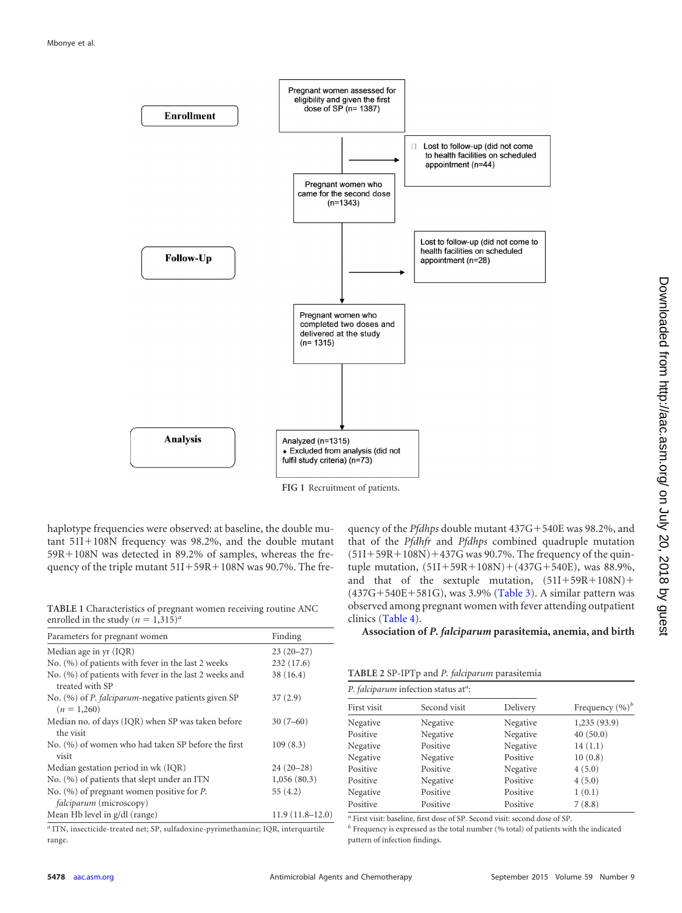

<span id="page-3-0"></span>**FIG 1** Recruitment of patients.

haplotype frequencies were observed: at baseline, the double mu $tant 51I+108N frequency was 98.2%$ , and the double mutant  $59R+108N$  was detected in 89.2% of samples, whereas the frequency of the triple mutant  $51I+59R+108N$  was 90.7%. The fre-

<span id="page-3-1"></span>**TABLE 1** Characteristics of pregnant women receiving routine ANC enrolled in the study  $(n = 1,315)^{a}$ 

| Parameters for pregnant women                                                                                                                                                                                                                                               | Finding           |
|-----------------------------------------------------------------------------------------------------------------------------------------------------------------------------------------------------------------------------------------------------------------------------|-------------------|
| Median age in yr (IQR)                                                                                                                                                                                                                                                      | $23(20-27)$       |
| No. (%) of patients with fever in the last 2 weeks                                                                                                                                                                                                                          | 232(17.6)         |
| No. (%) of patients with fever in the last 2 weeks and<br>treated with SP                                                                                                                                                                                                   | 38 (16.4)         |
| No. (%) of <i>P. falciparum</i> -negative patients given SP<br>$(n = 1,260)$                                                                                                                                                                                                | 37(2.9)           |
| Median no. of days (IQR) when SP was taken before<br>the visit                                                                                                                                                                                                              | $30(7-60)$        |
| No. (%) of women who had taken SP before the first<br>visit                                                                                                                                                                                                                 | 109(8.3)          |
| Median gestation period in wk (IQR)                                                                                                                                                                                                                                         | $24(20-28)$       |
| No. (%) of patients that slept under an ITN                                                                                                                                                                                                                                 | 1,056(80.3)       |
| No. $(\%)$ of pregnant women positive for P.<br><i>falciparum</i> (microscopy)                                                                                                                                                                                              | 55(4.2)           |
| Mean Hb level in g/dl (range)                                                                                                                                                                                                                                               | $11.9(11.8-12.0)$ |
| $\sim$ $\sim$ $\sim$ $\sim$ $\sim$<br>$\alpha$ where $\alpha$ is a contract of the contract of the contract of the contract of the contract of the contract of the contract of the contract of the contract of the contract of the contract of the contract of the contract |                   |

*<sup>a</sup>* ITN, insecticide-treated net; SP, sulfadoxine-pyrimethamine; IQR, interquartile range.

quency of the *Pfdhps* double mutant 437G+540E was 98.2%, and that of the *Pfdhfr* and *Pfdhps* combined quadruple mutation  $(51I+59R+108N)+437G$  was 90.7%. The frequency of the quintuple mutation,  $(51I+59R+108N)+(437G+540E)$ , was 88.9%, and that of the sextuple mutation,  $(51I+59R+108N)$ +  $(437G+540E+581G)$ , was 3.9% [\(Table 3\)](#page-4-0). A similar pattern was observed among pregnant women with fever attending outpatient clinics [\(Table 4\)](#page-4-1).

**Association of** *P. falciparum* **parasitemia, anemia, and birth**

<span id="page-3-2"></span>**TABLE 2** SP-IPTp and *P. falciparum* parasitemia

| P. falciparum infection status at <sup>a</sup> : |              |          |                    |  |  |
|--------------------------------------------------|--------------|----------|--------------------|--|--|
| First visit                                      | Second visit | Delivery | Frequency $(\%)^b$ |  |  |
| Negative                                         | Negative     | Negative | 1,235 (93.9)       |  |  |
| Positive                                         | Negative     | Negative | 40(50.0)           |  |  |
| Negative                                         | Positive     | Negative | 14(1.1)            |  |  |
| Negative                                         | Negative     | Positive | 10(0.8)            |  |  |
| Positive                                         | Positive     | Negative | 4(5.0)             |  |  |
| Positive                                         | Negative     | Positive | 4(5.0)             |  |  |
| Negative                                         | Positive     | Positive | 1(0.1)             |  |  |
| Positive                                         | Positive     | Positive | 7(8.8)             |  |  |

*<sup>a</sup>* First visit: baseline, first dose of SP. Second visit: second dose of SP.

*<sup>b</sup>* Frequency is expressed as the total number (% total) of patients with the indicated pattern of infection findings.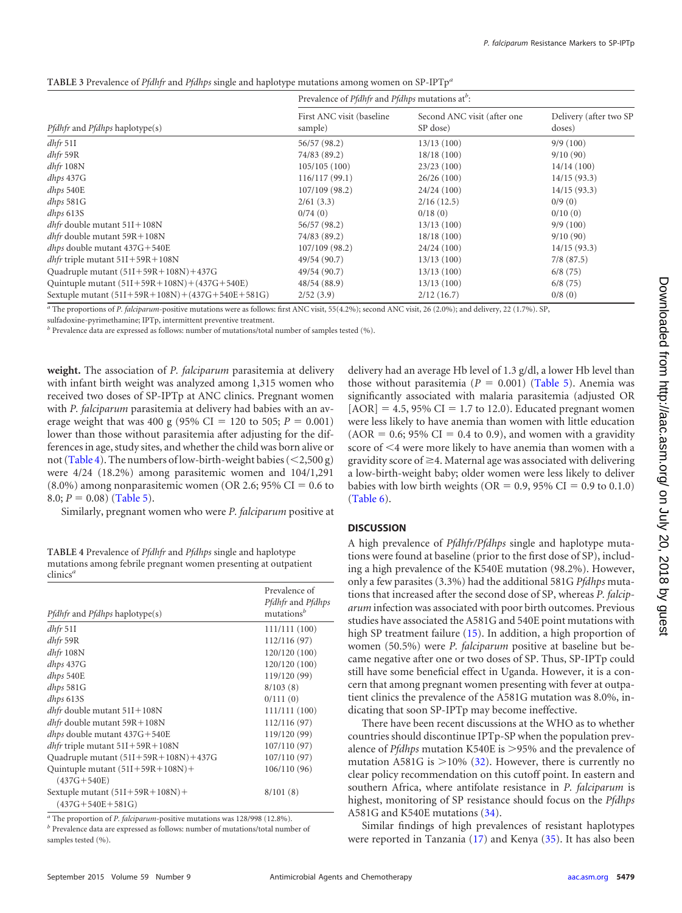<span id="page-4-0"></span>

| TABLE 3 Prevalence of Pfdhfr and Pfdhps single and haplotype mutations among women on SP-IPTp <sup>a</sup> |  |  |  |
|------------------------------------------------------------------------------------------------------------|--|--|--|
|                                                                                                            |  |  |  |

|                                                   | Prevalence of <i>Pfdhfr</i> and <i>Pfdhps</i> mutations at <sup>b</sup> : |                                         |                                  |  |
|---------------------------------------------------|---------------------------------------------------------------------------|-----------------------------------------|----------------------------------|--|
| <i>Pfdhfr</i> and <i>Pfdhps</i> haplotype(s)      | First ANC visit (baseline<br>sample)                                      | Second ANC visit (after one<br>SP dose) | Delivery (after two SP<br>doses) |  |
| $dhfr$ 511                                        | 56/57 (98.2)                                                              | 13/13(100)                              | 9/9(100)                         |  |
| $dhfr$ 59 $R$                                     | 74/83 (89.2)                                                              | 18/18(100)                              | 9/10(90)                         |  |
| $dhfr$ 108 $N$                                    | 105/105(100)                                                              | 23/23(100)                              | 14/14(100)                       |  |
| $dhps$ 437 $G$                                    | 116/117(99.1)                                                             | 26/26(100)                              | 14/15(93.3)                      |  |
| dhps 540E                                         | 107/109(98.2)                                                             | 24/24(100)                              | 14/15(93.3)                      |  |
| $dhps$ 581 $G$                                    | 2/61(3.3)                                                                 | 2/16(12.5)                              | 0/9(0)                           |  |
| $d$ hps 613 $S$                                   | 0/74(0)                                                                   | 0/18(0)                                 | 0/10(0)                          |  |
| <i>dhfr</i> double mutant $51I + 108N$            | 56/57 (98.2)                                                              | 13/13(100)                              | 9/9(100)                         |  |
| <i>dhfr</i> double mutant $59R + 108N$            | 74/83 (89.2)                                                              | 18/18(100)                              | 9/10(90)                         |  |
| dhps double mutant 437G+540E                      | 107/109(98.2)                                                             | 24/24(100)                              | 14/15(93.3)                      |  |
| <i>dhfr</i> triple mutant $51I + 59R + 108N$      | 49/54 (90.7)                                                              | 13/13(100)                              | 7/8(87.5)                        |  |
| Quadruple mutant (51I+59R+108N)+437G              | 49/54 (90.7)                                                              | 13/13(100)                              | 6/8(75)                          |  |
| Quintuple mutant $(51I+59R+108N)+(437G+540E)$     | 48/54 (88.9)                                                              | 13/13(100)                              | 6/8(75)                          |  |
| Sextuple mutant $(51I+59R+108N)+(437G+540E+581G)$ | 2/52(3.9)                                                                 | 2/12(16.7)                              | 0/8(0)                           |  |

*<sup>a</sup>* The proportions of *P. falciparum*-positive mutations were as follows: first ANC visit, 55(4.2%); second ANC visit, 26 (2.0%); and delivery, 22 (1.7%). SP,

sulfadoxine-pyrimethamine; IPTp, intermittent preventive treatment.

*b* Prevalence data are expressed as follows: number of mutations/total number of samples tested (%).

**weight.** The association of *P. falciparum* parasitemia at delivery with infant birth weight was analyzed among 1,315 women who received two doses of SP-IPTp at ANC clinics. Pregnant women with *P. falciparum* parasitemia at delivery had babies with an average weight that was 400 g (95% CI = 120 to 505;  $P = 0.001$ ) lower than those without parasitemia after adjusting for the differences in age, study sites, and whether the child was born alive or not [\(Table 4\)](#page-4-1). The numbers of low-birth-weight babies ( $\leq$ 2,500 g) were 4/24 (18.2%) among parasitemic women and 104/1,291  $(8.0\%)$  among nonparasitemic women  $(OR 2.6; 95\% \text{ CI} = 0.6 \text{ to } 0.6 \text{ CI})$  $8.0; P = 0.08$  [\(Table 5\)](#page-5-0).

Similarly, pregnant women who were *P. falciparum* positive at

<span id="page-4-1"></span>**TABLE 4** Prevalence of *Pfdhfr* and *Pfdhps* single and haplotype mutations among febrile pregnant women presenting at outpatient clinics*<sup>a</sup>*

|                                                              | Prevalence of                                                          |
|--------------------------------------------------------------|------------------------------------------------------------------------|
| <i>Pfdhfr</i> and <i>Pfdhps</i> haplotype(s)                 | <i>Pfdhfr</i> and <i>Pfdhps</i><br>mutations <sup><math>b</math></sup> |
| $dhfr$ 511                                                   | 111/111(100)                                                           |
| $dhfr$ 59 $R$                                                | 112/116 (97)                                                           |
| $dhfr$ 108 $N$                                               | 120/120 (100)                                                          |
| $dhps$ 437 $G$                                               | 120/120 (100)                                                          |
| dhps 540E                                                    | 119/120 (99)                                                           |
| $dhps$ 581 $G$                                               | 8/103(8)                                                               |
| $dhps$ 6138                                                  | 0/111(0)                                                               |
| <i>dhfr</i> double mutant $51I + 108N$                       | 111/111(100)                                                           |
| <i>dhfr</i> double mutant 59R + 108N                         | 112/116 (97)                                                           |
| <i>dhps</i> double mutant 437G+540E                          | 119/120 (99)                                                           |
| <i>dhfr</i> triple mutant $51I + 59R + 108N$                 | 107/110(97)                                                            |
| Quadruple mutant (51I+59R+108N)+437G                         | 107/110 (97)                                                           |
| Quintuple mutant $(51I+59R+108N)$ +<br>$(437G + 540E)$       | 106/110 (96)                                                           |
| Sextuple mutant $(51I+59R+108N)$ +<br>$(437G + 540E + 581G)$ | 8/101(8)                                                               |

*<sup>a</sup>* The proportion of *P. falciparum*-positive mutations was 128/998 (12.8%).

*<sup>b</sup>* Prevalence data are expressed as follows: number of mutations/total number of samples tested (%).

delivery had an average Hb level of 1.3 g/dl, a lower Hb level than those without parasitemia  $(P = 0.001)$  [\(Table 5\)](#page-5-0). Anemia was significantly associated with malaria parasitemia (adjusted OR  $[AOR] = 4.5$ , 95% CI = 1.7 to 12.0). Educated pregnant women were less likely to have anemia than women with little education  $(AOR = 0.6; 95\% \text{ CI} = 0.4 \text{ to } 0.9)$ , and women with a gravidity score of  $\leq$ 4 were more likely to have anemia than women with a gravidity score of  $\geq$ 4. Maternal age was associated with delivering a low-birth-weight baby; older women were less likely to deliver babies with low birth weights (OR =  $0.9$ , 95% CI =  $0.9$  to 0.1.0) [\(Table 6\)](#page-5-1).

## **DISCUSSION**

A high prevalence of *Pfdhfr/Pfdhps* single and haplotype mutations were found at baseline (prior to the first dose of SP), including a high prevalence of the K540E mutation (98.2%). However, only a few parasites (3.3%) had the additional 581G *Pfdhps* mutations that increased after the second dose of SP, whereas *P. falciparum* infection was associated with poor birth outcomes. Previous studies have associated the A581G and 540E point mutations with high SP treatment failure [\(15\)](#page-7-1). In addition, a high proportion of women (50.5%) were *P. falciparum* positive at baseline but became negative after one or two doses of SP. Thus, SP-IPTp could still have some beneficial effect in Uganda. However, it is a concern that among pregnant women presenting with fever at outpatient clinics the prevalence of the A581G mutation was 8.0%, indicating that soon SP-IPTp may become ineffective.

There have been recent discussions at the WHO as to whether countries should discontinue IPTp-SP when the population prevalence of *Pfdhps* mutation K540E is >95% and the prevalence of mutation A581G is  $>$ 10% [\(32\)](#page-7-18). However, there is currently no clear policy recommendation on this cutoff point. In eastern and southern Africa, where antifolate resistance in *P. falciparum* is highest, monitoring of SP resistance should focus on the *Pfdhps* A581G and K540E mutations [\(34\)](#page-7-20).

Similar findings of high prevalences of resistant haplotypes were reported in Tanzania [\(17\)](#page-7-3) and Kenya [\(35\)](#page-7-21). It has also been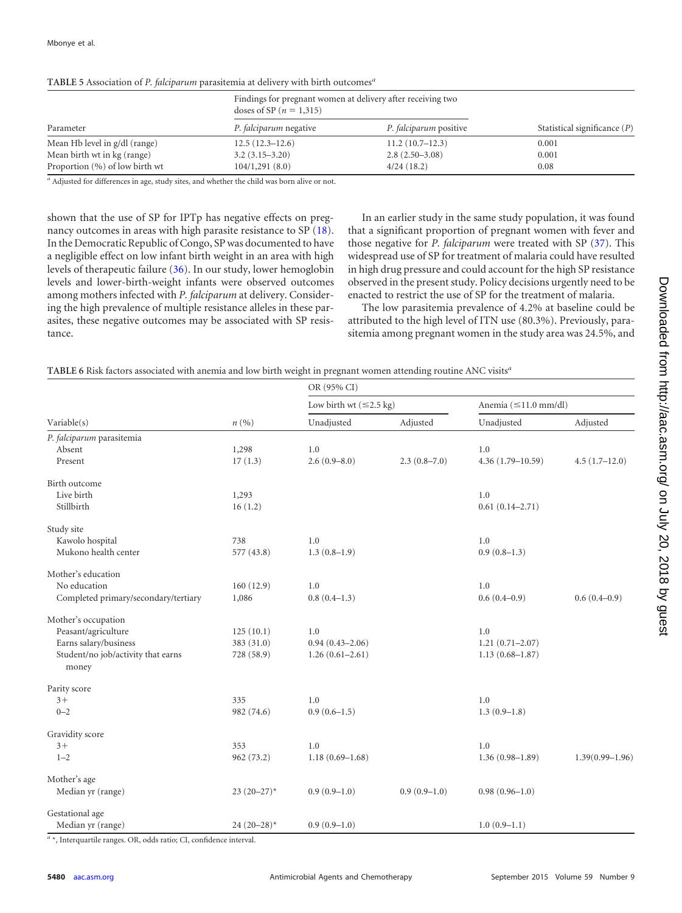|                                | doses of SP ( $n = 1,315$ )   | Findings for pregnant women at delivery after receiving two |                                |  |
|--------------------------------|-------------------------------|-------------------------------------------------------------|--------------------------------|--|
| Parameter                      | <i>P. falciparum</i> negative | <i>P. falciparum</i> positive                               | Statistical significance $(P)$ |  |
| Mean Hb level in g/dl (range)  | $12.5(12.3-12.6)$             | 11.2(10.7–12.3)                                             | 0.001                          |  |
| Mean birth wt in kg (range)    | $3.2(3.15-3.20)$              | $2.8(2.50-3.08)$                                            | 0.001                          |  |
| Proportion (%) of low birth wt | 104/1,291(8.0)                | 4/24(18.2)                                                  | 0.08                           |  |

<span id="page-5-0"></span>**TABLE 5** Association of *P. falciparum* parasitemia at delivery with birth outcomes*<sup>a</sup>*

<sup>a</sup> Adjusted for differences in age, study sites, and whether the child was born alive or not.

shown that the use of SP for IPTp has negative effects on pregnancy outcomes in areas with high parasite resistance to SP [\(18\)](#page-7-4). In the Democratic Republic of Congo, SP was documented to have a negligible effect on low infant birth weight in an area with high levels of therapeutic failure [\(36\)](#page-7-22). In our study, lower hemoglobin levels and lower-birth-weight infants were observed outcomes among mothers infected with *P. falciparum* at delivery. Considering the high prevalence of multiple resistance alleles in these parasites, these negative outcomes may be associated with SP resistance.

In an earlier study in the same study population, it was found that a significant proportion of pregnant women with fever and those negative for *P. falciparum* were treated with SP [\(37\)](#page-7-23). This widespread use of SP for treatment of malaria could have resulted in high drug pressure and could account for the high SP resistance observed in the present study. Policy decisions urgently need to be enacted to restrict the use of SP for the treatment of malaria.

The low parasitemia prevalence of 4.2% at baseline could be attributed to the high level of ITN use (80.3%). Previously, parasitemia among pregnant women in the study area was 24.5%, and

<span id="page-5-1"></span>

|                                             |                  | OR (95% CI)                          |                  |                            |                     |
|---------------------------------------------|------------------|--------------------------------------|------------------|----------------------------|---------------------|
| Variable(s)                                 |                  | Low birth wt $(\leq 2.5 \text{ kg})$ |                  | Anemia $(\leq 11.0$ mm/dl) |                     |
|                                             | n(%)             | Unadjusted                           | Adjusted         | Unadjusted                 | Adjusted            |
| P. falciparum parasitemia                   |                  |                                      |                  |                            |                     |
| Absent                                      | 1,298            | 1.0                                  |                  | 1.0                        |                     |
| Present                                     | 17(1.3)          | $2.6(0.9 - 8.0)$                     | $2.3(0.8 - 7.0)$ | $4.36(1.79 - 10.59)$       | $4.5(1.7-12.0)$     |
| Birth outcome                               |                  |                                      |                  |                            |                     |
| Live birth                                  | 1,293            |                                      |                  | 1.0                        |                     |
| Stillbirth                                  | 16(1.2)          |                                      |                  | $0.61(0.14 - 2.71)$        |                     |
| Study site                                  |                  |                                      |                  |                            |                     |
| Kawolo hospital                             | 738              | 1.0                                  |                  | 1.0                        |                     |
| Mukono health center                        | 577 (43.8)       | $1.3(0.8-1.9)$                       |                  | $0.9(0.8-1.3)$             |                     |
| Mother's education                          |                  |                                      |                  |                            |                     |
| No education                                | 160(12.9)        | 1.0                                  |                  | 1.0                        |                     |
| Completed primary/secondary/tertiary        | 1,086            | $0.8(0.4-1.3)$                       |                  | $0.6(0.4-0.9)$             | $0.6(0.4-0.9)$      |
| Mother's occupation                         |                  |                                      |                  |                            |                     |
| Peasant/agriculture                         | 125(10.1)        | 1.0                                  |                  | 1.0                        |                     |
| Earns salary/business                       | 383 (31.0)       | $0.94(0.43 - 2.06)$                  |                  | $1.21(0.71 - 2.07)$        |                     |
| Student/no job/activity that earns<br>money | 728 (58.9)       | $1.26(0.61 - 2.61)$                  |                  | $1.13(0.68 - 1.87)$        |                     |
| Parity score                                |                  |                                      |                  |                            |                     |
| $3+$                                        | 335              | 1.0                                  |                  | 1.0                        |                     |
| $0 - 2$                                     | 982 (74.6)       | $0.9(0.6-1.5)$                       |                  | $1.3(0.9-1.8)$             |                     |
| Gravidity score                             |                  |                                      |                  |                            |                     |
| $3+$                                        | 353              | 1.0                                  |                  | 1.0                        |                     |
| $1 - 2$                                     | 962 (73.2)       | $1.18(0.69 - 1.68)$                  |                  | $1.36(0.98 - 1.89)$        | $1.39(0.99 - 1.96)$ |
| Mother's age                                |                  |                                      |                  |                            |                     |
| Median yr (range)                           | $23(20-27)^*$    | $0.9(0.9-1.0)$                       | $0.9(0.9-1.0)$   | $0.98(0.96 - 1.0)$         |                     |
| Gestational age                             |                  |                                      |                  |                            |                     |
| Median yr (range)                           | 24 $(20 - 28)^*$ | $0.9(0.9-1.0)$                       |                  | $1.0(0.9-1.1)$             |                     |

OR, odds ratio; CI, confidence interval.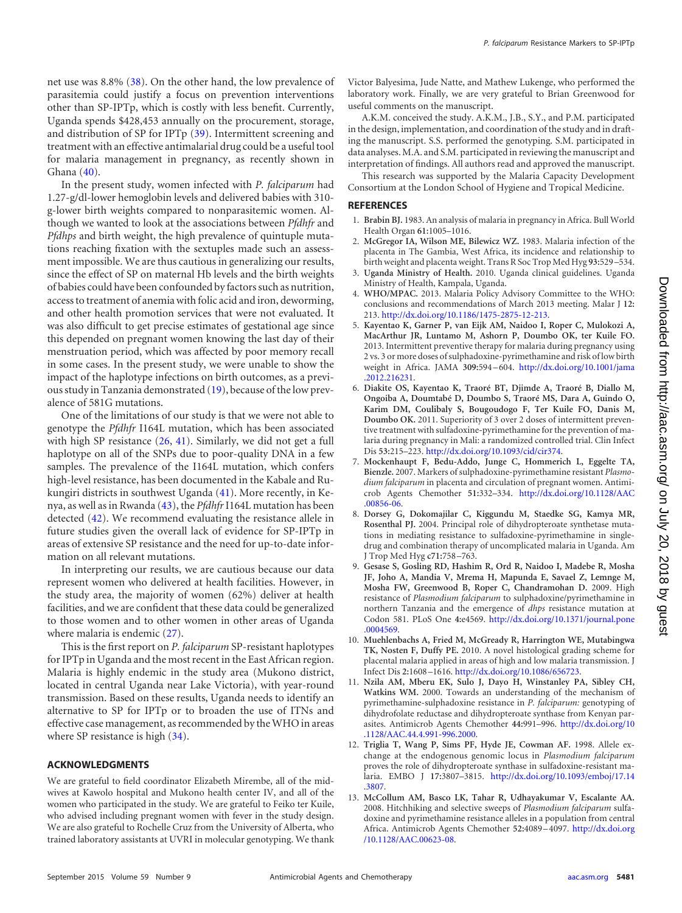In the present study, women infected with *P. falciparum* had 1.27-g/dl-lower hemoglobin levels and delivered babies with 310 g-lower birth weights compared to nonparasitemic women. Although we wanted to look at the associations between *Pfdhfr* and *Pfdhps* and birth weight, the high prevalence of quintuple mutations reaching fixation with the sextuples made such an assessment impossible. We are thus cautious in generalizing our results, since the effect of SP on maternal Hb levels and the birth weights of babies could have been confounded by factors such as nutrition, access to treatment of anemia with folic acid and iron, deworming, and other health promotion services that were not evaluated. It was also difficult to get precise estimates of gestational age since this depended on pregnant women knowing the last day of their menstruation period, which was affected by poor memory recall in some cases. In the present study, we were unable to show the impact of the haplotype infections on birth outcomes, as a previous study in Tanzania demonstrated [\(19\)](#page-7-5), because of the low prevalence of 581G mutations.

One of the limitations of our study is that we were not able to genotype the *Pfdhfr* I164L mutation, which has been associated with high SP resistance [\(26,](#page-7-12) [41\)](#page-7-27). Similarly, we did not get a full haplotype on all of the SNPs due to poor-quality DNA in a few samples. The prevalence of the I164L mutation, which confers high-level resistance, has been documented in the Kabale and Rukungiri districts in southwest Uganda [\(41\)](#page-7-27). More recently, in Kenya, as well as in Rwanda [\(43\)](#page-7-28), the *Pfdhfr*I164L mutation has been detected [\(42\)](#page-7-29). We recommend evaluating the resistance allele in future studies given the overall lack of evidence for SP-IPTp in areas of extensive SP resistance and the need for up-to-date information on all relevant mutations.

In interpreting our results, we are cautious because our data represent women who delivered at health facilities. However, in the study area, the majority of women (62%) deliver at health facilities, and we are confident that these data could be generalized to those women and to other women in other areas of Uganda where malaria is endemic [\(27\)](#page-7-13).

This is the first report on *P. falciparum* SP-resistant haplotypes for IPTp in Uganda and the most recent in the East African region. Malaria is highly endemic in the study area (Mukono district, located in central Uganda near Lake Victoria), with year-round transmission. Based on these results, Uganda needs to identify an alternative to SP for IPTp or to broaden the use of ITNs and effective case management, as recommended by theWHO in areas where SP resistance is high  $(34)$ .

## **ACKNOWLEDGMENTS**

We are grateful to field coordinator Elizabeth Mirembe, all of the midwives at Kawolo hospital and Mukono health center IV, and all of the women who participated in the study. We are grateful to Feiko ter Kuile, who advised including pregnant women with fever in the study design. We are also grateful to Rochelle Cruz from the University of Alberta, who trained laboratory assistants at UVRI in molecular genotyping. We thank

Victor Balyesima, Jude Natte, and Mathew Lukenge, who performed the laboratory work. Finally, we are very grateful to Brian Greenwood for useful comments on the manuscript.

A.K.M. conceived the study. A.K.M., J.B., S.Y., and P.M. participated in the design, implementation, and coordination of the study and in drafting the manuscript. S.S. performed the genotyping. S.M. participated in data analyses. M.A. and S.M. participated in reviewing the manuscript and interpretation of findings. All authors read and approved the manuscript.

This research was supported by the Malaria Capacity Development Consortium at the London School of Hygiene and Tropical Medicine.

#### <span id="page-6-0"></span>**REFERENCES**

- <span id="page-6-1"></span>1. **Brabin BJ.** 1983. An analysis of malaria in pregnancy in Africa. Bull World Health Organ **61:**1005–1016.
- 2. **McGregor IA, Wilson ME, Bilewicz WZ.** 1983. Malaria infection of the placenta in The Gambia, West Africa, its incidence and relationship to birth weight and placenta weight. Trans R Soc Trop Med Hyg **93:**529 –534.
- <span id="page-6-3"></span><span id="page-6-2"></span>3. **Uganda Ministry of Health.** 2010. Uganda clinical guidelines. Uganda Ministry of Health, Kampala, Uganda.
- 4. **WHO/MPAC.** 2013. Malaria Policy Advisory Committee to the WHO: conclusions and recommendations of March 2013 meeting. Malar J **12:** 213. [http://dx.doi.org/10.1186/1475-2875-12-213.](http://dx.doi.org/10.1186/1475-2875-12-213)
- <span id="page-6-4"></span>5. **Kayentao K, Garner P, van Eijk AM, Naidoo I, Roper C, Mulokozi A, MacArthur JR, Luntamo M, Ashorn P, Doumbo OK, ter Kuile FO.** 2013. Intermittent preventive therapy for malaria during pregnancy using 2 vs. 3 or more doses of sulphadoxine-pyrimethamine and risk of low birth weight in Africa. JAMA **309:**594 –604. [http://dx.doi.org/10.1001/jama](http://dx.doi.org/10.1001/jama.2012.216231) [.2012.216231.](http://dx.doi.org/10.1001/jama.2012.216231)
- <span id="page-6-5"></span>6. **Diakite OS, Kayentao K, Traoré BT, Djimde A, Traoré B, Diallo M, Ongoiba A, Doumtabé D, Doumbo S, Traoré MS, Dara A, Guindo O, Karim DM, Coulibaly S, Bougoudogo F, Ter Kuile FO, Danis M, Doumbo OK.** 2011. Superiority of 3 over 2 doses of intermittent preventive treatment with sulfadoxine-pyrimethamine for the prevention of malaria during pregnancy in Mali: a randomized controlled trial. Clin Infect Dis **53:**215–223. [http://dx.doi.org/10.1093/cid/cir374.](http://dx.doi.org/10.1093/cid/cir374)
- <span id="page-6-6"></span>7. **Mockenhaupt F, Bedu-Addo, Junge C, Hommerich L, Eggelte TA, Bienzle.** 2007. Markers of sulphadoxine-pyrimethamine resistant *Plasmodium falciparum* in placenta and circulation of pregnant women. Antimicrob Agents Chemother **51:**332–334. [http://dx.doi.org/10.1128/AAC](http://dx.doi.org/10.1128/AAC.00856-06) [.00856-06.](http://dx.doi.org/10.1128/AAC.00856-06)
- <span id="page-6-7"></span>8. **Dorsey G, Dokomajilar C, Kiggundu M, Staedke SG, Kamya MR, Rosenthal PJ.** 2004. Principal role of dihydropteroate synthetase mutations in mediating resistance to sulfadoxine-pyrimethamine in singledrug and combination therapy of uncomplicated malaria in Uganda. Am J Trop Med Hyg **c71:**758 –763.
- <span id="page-6-8"></span>9. **Gesase S, Gosling RD, Hashim R, Ord R, Naidoo I, Madebe R, Mosha JF, Joho A, Mandia V, Mrema H, Mapunda E, Savael Z, Lemnge M, Mosha FW, Greenwood B, Roper C, Chandramohan D.** 2009. High resistance of *Plasmodium falciparum* to sulphadoxine/pyrimethamine in northern Tanzania and the emergence of *dhps* resistance mutation at Codon 581. PLoS One **4:**e4569. [http://dx.doi.org/10.1371/journal.pone](http://dx.doi.org/10.1371/journal.pone.0004569) [.0004569.](http://dx.doi.org/10.1371/journal.pone.0004569)
- 10. **Muehlenbachs A, Fried M, McGready R, Harrington WE, Mutabingwa TK, Nosten F, Duffy PE.** 2010. A novel histological grading scheme for placental malaria applied in areas of high and low malaria transmission. J Infect Dis **2:**1608 –1616. [http://dx.doi.org/10.1086/656723.](http://dx.doi.org/10.1086/656723)
- <span id="page-6-9"></span>11. **Nzila AM, Mberu EK, Sulo J, Dayo H, Winstanley PA, Sibley CH, Watkins WM.** 2000. Towards an understanding of the mechanism of pyrimethamine-sulphadoxine resistance in *P. falciparum:* genotyping of dihydrofolate reductase and dihydropteroate synthase from Kenyan parasites. Antimicrob Agents Chemother **44:**991–996. [http://dx.doi.org/10](http://dx.doi.org/10.1128/AAC.44.4.991-996.2000) [.1128/AAC.44.4.991-996.2000.](http://dx.doi.org/10.1128/AAC.44.4.991-996.2000)
- <span id="page-6-10"></span>12. **Triglia T, Wang P, Sims PF, Hyde JE, Cowman AF.** 1998. Allele exchange at the endogenous genomic locus in *Plasmodium falciparum* proves the role of dihydropteroate synthase in sulfadoxine-resistant malaria. EMBO J **17:**3807–3815. [http://dx.doi.org/10.1093/emboj/17.14](http://dx.doi.org/10.1093/emboj/17.14.3807) [.3807.](http://dx.doi.org/10.1093/emboj/17.14.3807)
- <span id="page-6-11"></span>13. **McCollum AM, Basco LK, Tahar R, Udhayakumar V, Escalante AA.** 2008. Hitchhiking and selective sweeps of *Plasmodium falciparum* sulfadoxine and pyrimethamine resistance alleles in a population from central Africa. Antimicrob Agents Chemother **52:**4089 –4097. [http://dx.doi.org](http://dx.doi.org/10.1128/AAC.00623-08) [/10.1128/AAC.00623-08.](http://dx.doi.org/10.1128/AAC.00623-08)